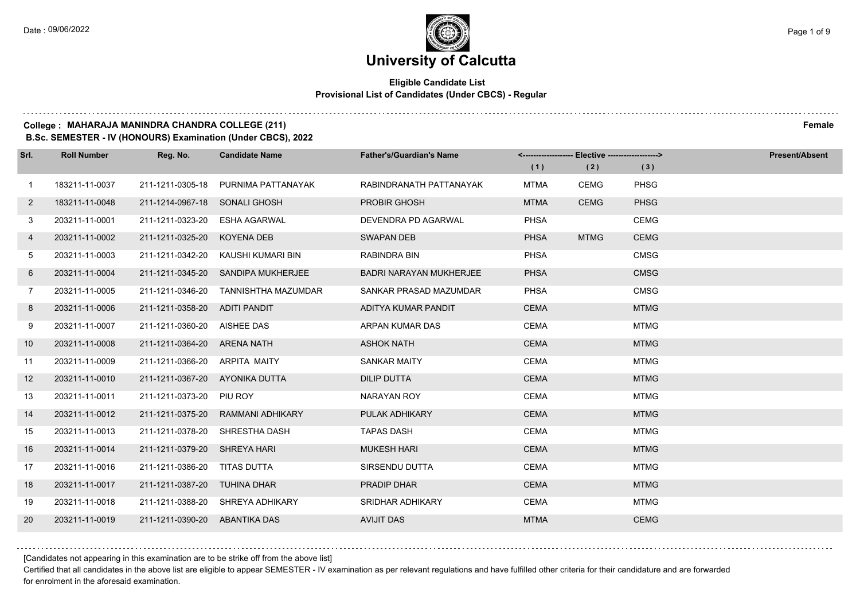### **Eligible Candidate List Provisional List of Candidates (Under CBCS) - Regular**

### **College : MAHARAJA MANINDRA CHANDRA COLLEGE (211) Female**

**B.Sc. SEMESTER - IV (HONOURS) Examination (Under CBCS), 2022**

| Srl.           | <b>Roll Number</b> | Reg. No.                      | <b>Candidate Name</b>                | <b>Father's/Guardian's Name</b> |             | <------------------- Elective ------------------> |             | <b>Present/Absent</b> |
|----------------|--------------------|-------------------------------|--------------------------------------|---------------------------------|-------------|---------------------------------------------------|-------------|-----------------------|
|                |                    |                               |                                      |                                 | (1)         | (2)                                               | (3)         |                       |
| $\overline{1}$ | 183211-11-0037     | 211-1211-0305-18              | PURNIMA PATTANAYAK                   | RABINDRANATH PATTANAYAK         | <b>MTMA</b> | CEMG                                              | <b>PHSG</b> |                       |
| $\mathbf{2}$   | 183211-11-0048     | 211-1214-0967-18              | <b>SONALI GHOSH</b>                  | PROBIR GHOSH                    | <b>MTMA</b> | <b>CEMG</b>                                       | <b>PHSG</b> |                       |
| 3              | 203211-11-0001     | 211-1211-0323-20              | <b>ESHA AGARWAL</b>                  | DEVENDRA PD AGARWAL             | <b>PHSA</b> |                                                   | <b>CEMG</b> |                       |
| 4              | 203211-11-0002     | 211-1211-0325-20              | <b>KOYENA DEB</b>                    | <b>SWAPAN DEB</b>               | <b>PHSA</b> | <b>MTMG</b>                                       | <b>CEMG</b> |                       |
| 5              | 203211-11-0003     | 211-1211-0342-20              | KAUSHI KUMARI BIN                    | RABINDRA BIN                    | PHSA        |                                                   | <b>CMSG</b> |                       |
| 6              | 203211-11-0004     | 211-1211-0345-20              | SANDIPA MUKHERJEE                    | <b>BADRI NARAYAN MUKHERJEE</b>  | <b>PHSA</b> |                                                   | <b>CMSG</b> |                       |
| $7^{\circ}$    | 203211-11-0005     |                               | 211-1211-0346-20 TANNISHTHA MAZUMDAR | SANKAR PRASAD MAZUMDAR          | <b>PHSA</b> |                                                   | <b>CMSG</b> |                       |
| 8              | 203211-11-0006     | 211-1211-0358-20 ADITI PANDIT |                                      | ADITYA KUMAR PANDIT             | <b>CEMA</b> |                                                   | <b>MTMG</b> |                       |
| 9              | 203211-11-0007     | 211-1211-0360-20              | AISHEE DAS                           | ARPAN KUMAR DAS                 | <b>CEMA</b> |                                                   | <b>MTMG</b> |                       |
| 10             | 203211-11-0008     | 211-1211-0364-20              | ARENA NATH                           | <b>ASHOK NATH</b>               | <b>CEMA</b> |                                                   | <b>MTMG</b> |                       |
| 11             | 203211-11-0009     | 211-1211-0366-20 ARPITA MAITY |                                      | <b>SANKAR MAITY</b>             | <b>CEMA</b> |                                                   | <b>MTMG</b> |                       |
| 12             | 203211-11-0010     | 211-1211-0367-20              | AYONIKA DUTTA                        | <b>DILIP DUTTA</b>              | <b>CEMA</b> |                                                   | <b>MTMG</b> |                       |
| 13             | 203211-11-0011     | 211-1211-0373-20              | PIU ROY                              | <b>NARAYAN ROY</b>              | <b>CEMA</b> |                                                   | <b>MTMG</b> |                       |
| 14             | 203211-11-0012     | 211-1211-0375-20              | <b>RAMMANI ADHIKARY</b>              | PULAK ADHIKARY                  | <b>CEMA</b> |                                                   | <b>MTMG</b> |                       |
| 15             | 203211-11-0013     | 211-1211-0378-20              | SHRESTHA DASH                        | <b>TAPAS DASH</b>               | <b>CEMA</b> |                                                   | <b>MTMG</b> |                       |
| 16             | 203211-11-0014     | 211-1211-0379-20              | <b>SHREYA HARI</b>                   | <b>MUKESH HARI</b>              | <b>CEMA</b> |                                                   | <b>MTMG</b> |                       |
| 17             | 203211-11-0016     | 211-1211-0386-20              | <b>TITAS DUTTA</b>                   | SIRSENDU DUTTA                  | CEMA        |                                                   | <b>MTMG</b> |                       |
| 18             | 203211-11-0017     | 211-1211-0387-20              | TUHINA DHAR                          | <b>PRADIP DHAR</b>              | <b>CEMA</b> |                                                   | <b>MTMG</b> |                       |
| 19             | 203211-11-0018     |                               | 211-1211-0388-20 SHREYA ADHIKARY     | <b>SRIDHAR ADHIKARY</b>         | <b>CEMA</b> |                                                   | <b>MTMG</b> |                       |
| 20             | 203211-11-0019     | 211-1211-0390-20              | ABANTIKA DAS                         | <b>AVIJIT DAS</b>               | <b>MTMA</b> |                                                   | <b>CEMG</b> |                       |

[Candidates not appearing in this examination are to be strike off from the above list]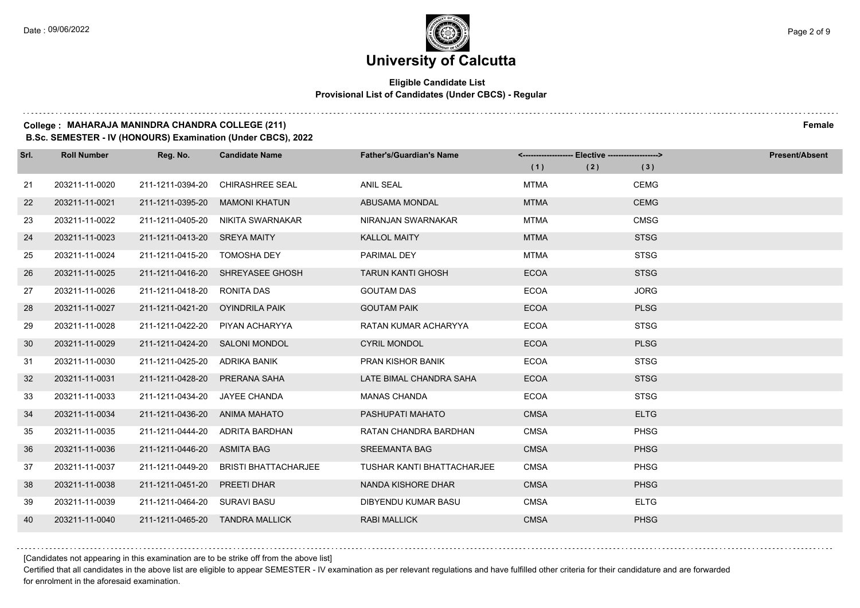### **Eligible Candidate List Provisional List of Candidates (Under CBCS) - Regular**

### **College : MAHARAJA MANINDRA CHANDRA COLLEGE (211) Female**

**B.Sc. SEMESTER - IV (HONOURS) Examination (Under CBCS), 2022**

| Srl. | <b>Roll Number</b> | Reg. No.                        | <b>Candidate Name</b>            | <b>Father's/Guardian's Name</b>   |             | <------------------- Elective -------------------> |             | Present/Absent |
|------|--------------------|---------------------------------|----------------------------------|-----------------------------------|-------------|----------------------------------------------------|-------------|----------------|
|      |                    |                                 |                                  |                                   | (1)         | (2)                                                | (3)         |                |
| 21   | 203211-11-0020     | 211-1211-0394-20                | <b>CHIRASHREE SEAL</b>           | <b>ANIL SEAL</b>                  | <b>MTMA</b> |                                                    | CEMG        |                |
| 22   | 203211-11-0021     | 211-1211-0395-20                | <b>MAMONI KHATUN</b>             | <b>ABUSAMA MONDAL</b>             | <b>MTMA</b> |                                                    | <b>CEMG</b> |                |
| 23   | 203211-11-0022     | 211-1211-0405-20                | NIKITA SWARNAKAR                 | NIRANJAN SWARNAKAR                | <b>MTMA</b> |                                                    | <b>CMSG</b> |                |
| 24   | 203211-11-0023     | 211-1211-0413-20 SREYA MAITY    |                                  | <b>KALLOL MAITY</b>               | <b>MTMA</b> |                                                    | <b>STSG</b> |                |
| 25   | 203211-11-0024     | 211-1211-0415-20                | <b>TOMOSHA DEY</b>               | PARIMAL DEY                       | <b>MTMA</b> |                                                    | <b>STSG</b> |                |
| 26   | 203211-11-0025     |                                 | 211-1211-0416-20 SHREYASEE GHOSH | <b>TARUN KANTI GHOSH</b>          | <b>ECOA</b> |                                                    | <b>STSG</b> |                |
| 27   | 203211-11-0026     | 211-1211-0418-20 RONITA DAS     |                                  | <b>GOUTAM DAS</b>                 | <b>ECOA</b> |                                                    | <b>JORG</b> |                |
| 28   | 203211-11-0027     | 211-1211-0421-20 OYINDRILA PAIK |                                  | <b>GOUTAM PAIK</b>                | <b>ECOA</b> |                                                    | <b>PLSG</b> |                |
| 29   | 203211-11-0028     | 211-1211-0422-20                | PIYAN ACHARYYA                   | RATAN KUMAR ACHARYYA              | <b>ECOA</b> |                                                    | <b>STSG</b> |                |
| 30   | 203211-11-0029     | 211-1211-0424-20 SALONI MONDOL  |                                  | <b>CYRIL MONDOL</b>               | <b>ECOA</b> |                                                    | <b>PLSG</b> |                |
| 31   | 203211-11-0030     | 211-1211-0425-20 ADRIKA BANIK   |                                  | PRAN KISHOR BANIK                 | <b>ECOA</b> |                                                    | <b>STSG</b> |                |
| 32   | 203211-11-0031     | 211-1211-0428-20                | PRERANA SAHA                     | LATE BIMAL CHANDRA SAHA           | <b>ECOA</b> |                                                    | <b>STSG</b> |                |
| 33   | 203211-11-0033     | 211-1211-0434-20                | JAYEE CHANDA                     | <b>MANAS CHANDA</b>               | <b>ECOA</b> |                                                    | <b>STSG</b> |                |
| 34   | 203211-11-0034     | 211-1211-0436-20 ANIMA MAHATO   |                                  | PASHUPATI MAHATO                  | <b>CMSA</b> |                                                    | <b>ELTG</b> |                |
| 35   | 203211-11-0035     |                                 | 211-1211-0444-20 ADRITA BARDHAN  | RATAN CHANDRA BARDHAN             | <b>CMSA</b> |                                                    | <b>PHSG</b> |                |
| 36   | 203211-11-0036     | 211-1211-0446-20 ASMITA BAG     |                                  | <b>SREEMANTA BAG</b>              | <b>CMSA</b> |                                                    | <b>PHSG</b> |                |
| 37   | 203211-11-0037     | 211-1211-0449-20                | <b>BRISTI BHATTACHARJEE</b>      | <b>TUSHAR KANTI BHATTACHARJEE</b> | <b>CMSA</b> |                                                    | <b>PHSG</b> |                |
| 38   | 203211-11-0038     | 211-1211-0451-20                | PREETI DHAR                      | NANDA KISHORE DHAR                | <b>CMSA</b> |                                                    | <b>PHSG</b> |                |
| 39   | 203211-11-0039     | 211-1211-0464-20 SURAVI BASU    |                                  | DIBYENDU KUMAR BASU               | <b>CMSA</b> |                                                    | <b>ELTG</b> |                |
| 40   | 203211-11-0040     |                                 | 211-1211-0465-20 TANDRA MALLICK  | <b>RABI MALLICK</b>               | <b>CMSA</b> |                                                    | <b>PHSG</b> |                |

[Candidates not appearing in this examination are to be strike off from the above list]

Certified that all candidates in the above list are eligible to appear SEMESTER - IV examination as per relevant regulations and have fulfilled other criteria for their candidature and are forwarded for enrolment in the aforesaid examination.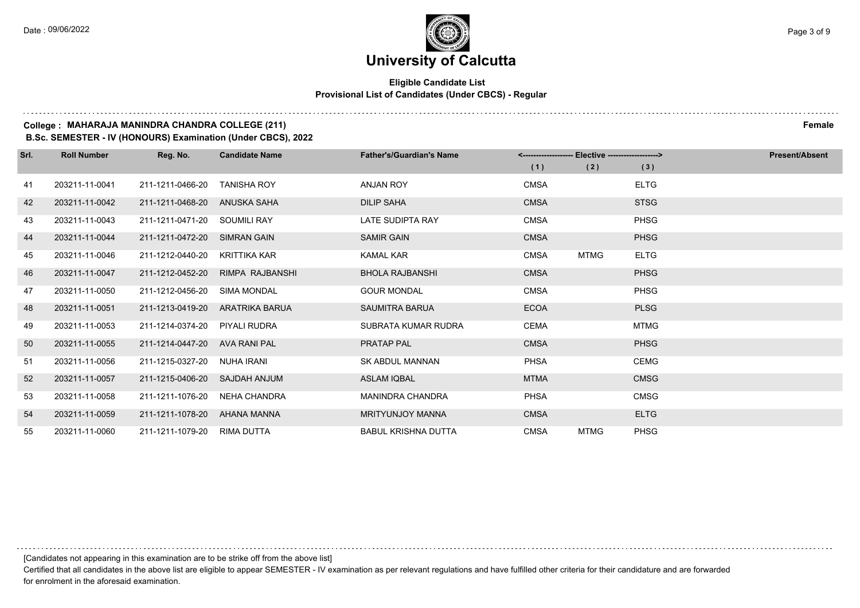### **Eligible Candidate List Provisional List of Candidates (Under CBCS) - Regular**

### **College : MAHARAJA MANINDRA CHANDRA COLLEGE (211) Female**

**B.Sc. SEMESTER - IV (HONOURS) Examination (Under CBCS), 2022**

| Srl. | <b>Roll Number</b> | Reg. No.         | <b>Candidate Name</b> | <b>Father's/Guardian's Name</b> | Elective -------------------><br><-------------------- |             |             | <b>Present/Absent</b> |
|------|--------------------|------------------|-----------------------|---------------------------------|--------------------------------------------------------|-------------|-------------|-----------------------|
|      |                    |                  |                       |                                 | (1)                                                    | (2)         | (3)         |                       |
| 41   | 203211-11-0041     | 211-1211-0466-20 | <b>TANISHA ROY</b>    | <b>ANJAN ROY</b>                | <b>CMSA</b>                                            |             | <b>ELTG</b> |                       |
| 42   | 203211-11-0042     | 211-1211-0468-20 | ANUSKA SAHA           | <b>DILIP SAHA</b>               | <b>CMSA</b>                                            |             | <b>STSG</b> |                       |
| 43   | 203211-11-0043     | 211-1211-0471-20 | <b>SOUMILI RAY</b>    | <b>LATE SUDIPTA RAY</b>         | <b>CMSA</b>                                            |             | <b>PHSG</b> |                       |
| 44   | 203211-11-0044     | 211-1211-0472-20 | <b>SIMRAN GAIN</b>    | <b>SAMIR GAIN</b>               | <b>CMSA</b>                                            |             | <b>PHSG</b> |                       |
| 45   | 203211-11-0046     | 211-1212-0440-20 | KRITTIKA KAR          | <b>KAMAL KAR</b>                | <b>CMSA</b>                                            | <b>MTMG</b> | <b>ELTG</b> |                       |
| 46   | 203211-11-0047     | 211-1212-0452-20 | RIMPA RAJBANSHI       | <b>BHOLA RAJBANSHI</b>          | <b>CMSA</b>                                            |             | <b>PHSG</b> |                       |
| 47   | 203211-11-0050     | 211-1212-0456-20 | <b>SIMA MONDAL</b>    | <b>GOUR MONDAL</b>              | <b>CMSA</b>                                            |             | <b>PHSG</b> |                       |
| 48   | 203211-11-0051     | 211-1213-0419-20 | ARATRIKA BARUA        | SAUMITRA BARUA                  | <b>ECOA</b>                                            |             | <b>PLSG</b> |                       |
| 49   | 203211-11-0053     | 211-1214-0374-20 | PIYALI RUDRA          | SUBRATA KUMAR RUDRA             | <b>CEMA</b>                                            |             | <b>MTMG</b> |                       |
| 50   | 203211-11-0055     | 211-1214-0447-20 | AVA RANI PAL          | <b>PRATAP PAL</b>               | <b>CMSA</b>                                            |             | <b>PHSG</b> |                       |
| 51   | 203211-11-0056     | 211-1215-0327-20 | NUHA IRANI            | <b>SK ABDUL MANNAN</b>          | <b>PHSA</b>                                            |             | <b>CEMG</b> |                       |
| 52   | 203211-11-0057     | 211-1215-0406-20 | SAJDAH ANJUM          | <b>ASLAM IQBAL</b>              | <b>MTMA</b>                                            |             | <b>CMSG</b> |                       |
| 53   | 203211-11-0058     | 211-1211-1076-20 | <b>NEHA CHANDRA</b>   | <b>MANINDRA CHANDRA</b>         | <b>PHSA</b>                                            |             | <b>CMSG</b> |                       |
| 54   | 203211-11-0059     | 211-1211-1078-20 | AHANA MANNA           | <b>MRITYUNJOY MANNA</b>         | <b>CMSA</b>                                            |             | <b>ELTG</b> |                       |
| 55   | 203211-11-0060     | 211-1211-1079-20 | RIMA DUTTA            | <b>BABUL KRISHNA DUTTA</b>      | <b>CMSA</b>                                            | <b>MTMG</b> | <b>PHSG</b> |                       |

[Candidates not appearing in this examination are to be strike off from the above list]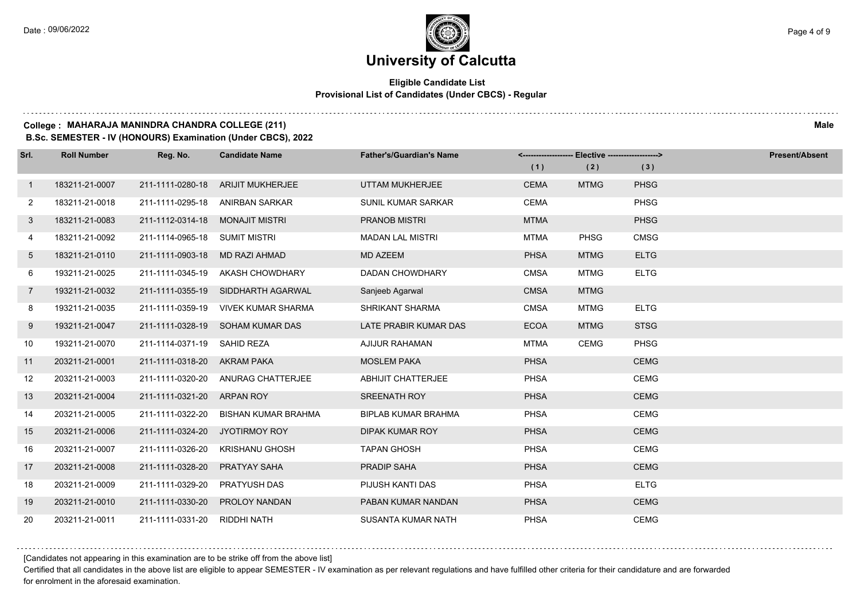### **Eligible Candidate List Provisional List of Candidates (Under CBCS) - Regular**

### **College : MAHARAJA MANINDRA CHANDRA COLLEGE (211) Male**

**B.Sc. SEMESTER - IV (HONOURS) Examination (Under CBCS), 2022**

| Srl.                  | <b>Roll Number</b> | Reg. No.                      | <b>Candidate Name</b>               | <b>Father's/Guardian's Name</b> |             | <------------------- Elective ------------------> |             | <b>Present/Absent</b> |
|-----------------------|--------------------|-------------------------------|-------------------------------------|---------------------------------|-------------|---------------------------------------------------|-------------|-----------------------|
|                       |                    |                               |                                     |                                 | (1)         | (2)                                               | (3)         |                       |
| $\mathbf{1}$          | 183211-21-0007     | 211-1111-0280-18              | <b>ARIJIT MUKHERJEE</b>             | UTTAM MUKHERJEE                 | <b>CEMA</b> | <b>MTMG</b>                                       | <b>PHSG</b> |                       |
| $\mathbf{2}^{\prime}$ | 183211-21-0018     | 211-1111-0295-18              | ANIRBAN SARKAR                      | SUNIL KUMAR SARKAR              | <b>CEMA</b> |                                                   | <b>PHSG</b> |                       |
| 3                     | 183211-21-0083     | 211-1112-0314-18              | MONAJIT MISTRI                      | <b>PRANOB MISTRI</b>            | <b>MTMA</b> |                                                   | <b>PHSG</b> |                       |
| 4                     | 183211-21-0092     | 211-1114-0965-18 SUMIT MISTRI |                                     | <b>MADAN LAL MISTRI</b>         | <b>MTMA</b> | <b>PHSG</b>                                       | <b>CMSG</b> |                       |
| 5                     | 183211-21-0110     | 211-1111-0903-18              | MD RAZI AHMAD                       | <b>MD AZEEM</b>                 | <b>PHSA</b> | <b>MTMG</b>                                       | <b>ELTG</b> |                       |
| 6                     | 193211-21-0025     | 211-1111-0345-19              | AKASH CHOWDHARY                     | <b>DADAN CHOWDHARY</b>          | <b>CMSA</b> | <b>MTMG</b>                                       | <b>ELTG</b> |                       |
| $\overline{7}$        | 193211-21-0032     |                               | 211-1111-0355-19 SIDDHARTH AGARWAL  | Sanjeeb Agarwal                 | <b>CMSA</b> | <b>MTMG</b>                                       |             |                       |
| 8                     | 193211-21-0035     |                               | 211-1111-0359-19 VIVEK KUMAR SHARMA | <b>SHRIKANT SHARMA</b>          | <b>CMSA</b> | <b>MTMG</b>                                       | <b>ELTG</b> |                       |
| 9                     | 193211-21-0047     |                               | 211-1111-0328-19 SOHAM KUMAR DAS    | LATE PRABIR KUMAR DAS           | <b>ECOA</b> | <b>MTMG</b>                                       | <b>STSG</b> |                       |
| 10                    | 193211-21-0070     | 211-1114-0371-19              | SAHID REZA                          | AJIJUR RAHAMAN                  | <b>MTMA</b> | <b>CEMG</b>                                       | <b>PHSG</b> |                       |
| 11                    | 203211-21-0001     | 211-1111-0318-20 AKRAM PAKA   |                                     | <b>MOSLEM PAKA</b>              | <b>PHSA</b> |                                                   | <b>CEMG</b> |                       |
| 12                    | 203211-21-0003     |                               | 211-1111-0320-20 ANURAG CHATTERJEE  | <b>ABHIJIT CHATTERJEE</b>       | <b>PHSA</b> |                                                   | <b>CEMG</b> |                       |
| 13                    | 203211-21-0004     | 211-1111-0321-20 ARPAN ROY    |                                     | <b>SREENATH ROY</b>             | <b>PHSA</b> |                                                   | <b>CEMG</b> |                       |
| 14                    | 203211-21-0005     | 211-1111-0322-20              | <b>BISHAN KUMAR BRAHMA</b>          | <b>BIPLAB KUMAR BRAHMA</b>      | <b>PHSA</b> |                                                   | <b>CEMG</b> |                       |
| 15                    | 203211-21-0006     | 211-1111-0324-20              | JYOTIRMOY ROY                       | DIPAK KUMAR ROY                 | <b>PHSA</b> |                                                   | <b>CEMG</b> |                       |
| 16                    | 203211-21-0007     | 211-1111-0326-20              | <b>KRISHANU GHOSH</b>               | <b>TAPAN GHOSH</b>              | <b>PHSA</b> |                                                   | <b>CEMG</b> |                       |
| 17                    | 203211-21-0008     | 211-1111-0328-20              | PRATYAY SAHA                        | <b>PRADIP SAHA</b>              | <b>PHSA</b> |                                                   | <b>CEMG</b> |                       |
| 18                    | 203211-21-0009     | 211-1111-0329-20              | PRATYUSH DAS                        | PIJUSH KANTI DAS                | <b>PHSA</b> |                                                   | <b>ELTG</b> |                       |
| 19                    | 203211-21-0010     | 211-1111-0330-20              | <b>PROLOY NANDAN</b>                | PABAN KUMAR NANDAN              | <b>PHSA</b> |                                                   | <b>CEMG</b> |                       |
| 20                    | 203211-21-0011     | 211-1111-0331-20 RIDDHI NATH  |                                     | <b>SUSANTA KUMAR NATH</b>       | <b>PHSA</b> |                                                   | <b>CEMG</b> |                       |

[Candidates not appearing in this examination are to be strike off from the above list]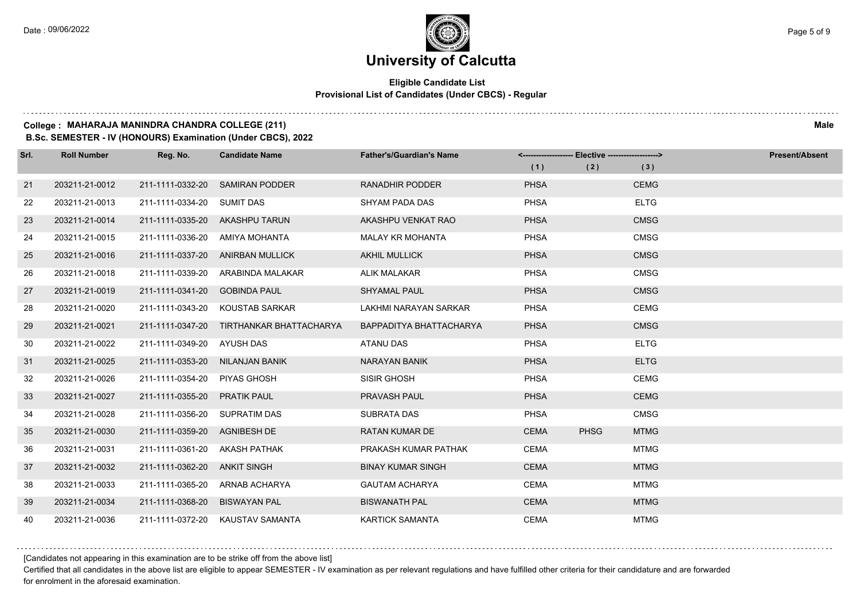### **Eligible Candidate List Provisional List of Candidates (Under CBCS) - Regular**

### **College : MAHARAJA MANINDRA CHANDRA COLLEGE (211) Male**

**B.Sc. SEMESTER - IV (HONOURS) Examination (Under CBCS), 2022**

| Srl. | <b>Roll Number</b> | Reg. No.         | <b>Candidate Name</b>          | <b>Father's/Guardian's Name</b> | <-------------------- Elective ------------------> |             |             | <b>Present/Absent</b> |
|------|--------------------|------------------|--------------------------------|---------------------------------|----------------------------------------------------|-------------|-------------|-----------------------|
|      |                    |                  |                                |                                 | (1)                                                | (2)         | (3)         |                       |
| 21   | 203211-21-0012     | 211-1111-0332-20 | <b>SAMIRAN PODDER</b>          | <b>RANADHIR PODDER</b>          | <b>PHSA</b>                                        |             | <b>CEMG</b> |                       |
| 22   | 203211-21-0013     | 211-1111-0334-20 | <b>SUMIT DAS</b>               | SHYAM PADA DAS                  | <b>PHSA</b>                                        |             | <b>ELTG</b> |                       |
| 23   | 203211-21-0014     |                  | 211-1111-0335-20 AKASHPU TARUN | AKASHPU VENKAT RAO              | <b>PHSA</b>                                        |             | <b>CMSG</b> |                       |
| 24   | 203211-21-0015     | 211-1111-0336-20 | AMIYA MOHANTA                  | <b>MALAY KR MOHANTA</b>         | <b>PHSA</b>                                        |             | <b>CMSG</b> |                       |
| 25   | 203211-21-0016     | 211-1111-0337-20 | ANIRBAN MULLICK                | <b>AKHIL MULLICK</b>            | <b>PHSA</b>                                        |             | <b>CMSG</b> |                       |
| 26   | 203211-21-0018     | 211-1111-0339-20 | ARABINDA MALAKAR               | <b>ALIK MALAKAR</b>             | <b>PHSA</b>                                        |             | <b>CMSG</b> |                       |
| 27   | 203211-21-0019     | 211-1111-0341-20 | <b>GOBINDA PAUL</b>            | <b>SHYAMAL PAUL</b>             | <b>PHSA</b>                                        |             | <b>CMSG</b> |                       |
| 28   | 203211-21-0020     | 211-1111-0343-20 | KOUSTAB SARKAR                 | LAKHMI NARAYAN SARKAR           | <b>PHSA</b>                                        |             | <b>CEMG</b> |                       |
| 29   | 203211-21-0021     | 211-1111-0347-20 | TIRTHANKAR BHATTACHARYA        | BAPPADITYA BHATTACHARYA         | <b>PHSA</b>                                        |             | <b>CMSG</b> |                       |
| 30   | 203211-21-0022     | 211-1111-0349-20 | AYUSH DAS                      | <b>ATANU DAS</b>                | <b>PHSA</b>                                        |             | <b>ELTG</b> |                       |
| 31   | 203211-21-0025     | 211-1111-0353-20 | NILANJAN BANIK                 | <b>NARAYAN BANIK</b>            | <b>PHSA</b>                                        |             | <b>ELTG</b> |                       |
| 32   | 203211-21-0026     | 211-1111-0354-20 | <b>PIYAS GHOSH</b>             | SISIR GHOSH                     | <b>PHSA</b>                                        |             | <b>CEMG</b> |                       |
| 33   | 203211-21-0027     | 211-1111-0355-20 | <b>PRATIK PAUL</b>             | <b>PRAVASH PAUL</b>             | <b>PHSA</b>                                        |             | <b>CEMG</b> |                       |
| 34   | 203211-21-0028     | 211-1111-0356-20 | <b>SUPRATIM DAS</b>            | SUBRATA DAS                     | <b>PHSA</b>                                        |             | <b>CMSG</b> |                       |
| 35   | 203211-21-0030     | 211-1111-0359-20 | AGNIBESH DE                    | <b>RATAN KUMAR DE</b>           | <b>CEMA</b>                                        | <b>PHSG</b> | <b>MTMG</b> |                       |
| 36   | 203211-21-0031     | 211-1111-0361-20 | AKASH PATHAK                   | PRAKASH KUMAR PATHAK            | <b>CEMA</b>                                        |             | <b>MTMG</b> |                       |
| 37   | 203211-21-0032     | 211-1111-0362-20 | ANKIT SINGH                    | <b>BINAY KUMAR SINGH</b>        | <b>CEMA</b>                                        |             | <b>MTMG</b> |                       |
| 38   | 203211-21-0033     | 211-1111-0365-20 | ARNAB ACHARYA                  | <b>GAUTAM ACHARYA</b>           | <b>CEMA</b>                                        |             | <b>MTMG</b> |                       |
| 39   | 203211-21-0034     | 211-1111-0368-20 | <b>BISWAYAN PAL</b>            | <b>BISWANATH PAL</b>            | <b>CEMA</b>                                        |             | <b>MTMG</b> |                       |
| 40   | 203211-21-0036     | 211-1111-0372-20 | KAUSTAV SAMANTA                | <b>KARTICK SAMANTA</b>          | <b>CEMA</b>                                        |             | <b>MTMG</b> |                       |

[Candidates not appearing in this examination are to be strike off from the above list]

Certified that all candidates in the above list are eligible to appear SEMESTER - IV examination as per relevant regulations and have fulfilled other criteria for their candidature and are forwarded for enrolment in the aforesaid examination.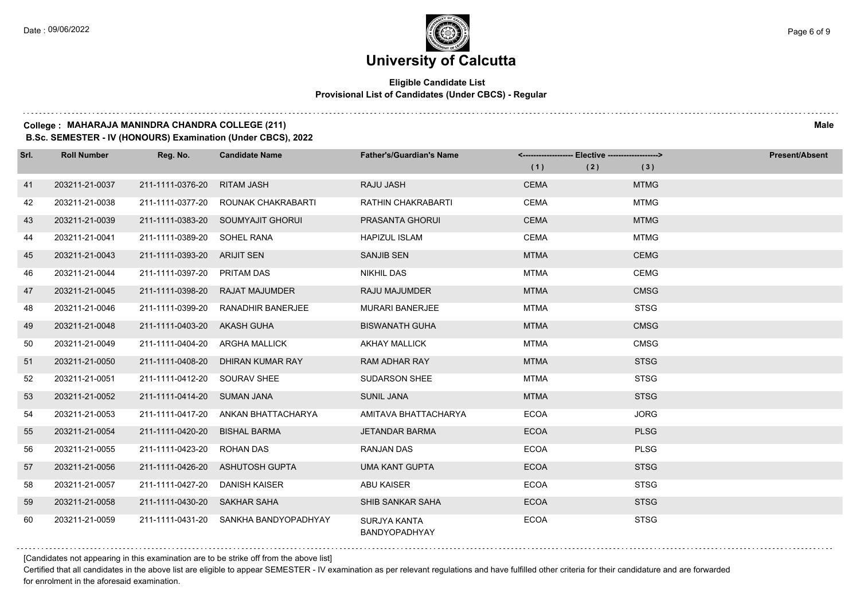### **Eligible Candidate List Provisional List of Candidates (Under CBCS) - Regular**

#### **College : MAHARAJA MANINDRA CHANDRA COLLEGE (211) Male**

**B.Sc. SEMESTER - IV (HONOURS) Examination (Under CBCS), 2022**

| Srl. | <b>Roll Number</b> | Reg. No.                     | <b>Candidate Name</b>               | <b>Father's/Guardian's Name</b>             | <------------------- Elective ------------------> |     |             | <b>Present/Absent</b> |
|------|--------------------|------------------------------|-------------------------------------|---------------------------------------------|---------------------------------------------------|-----|-------------|-----------------------|
|      |                    |                              |                                     |                                             | (1)                                               | (2) | (3)         |                       |
| 41   | 203211-21-0037     | 211-1111-0376-20             | <b>RITAM JASH</b>                   | <b>RAJU JASH</b>                            | <b>CEMA</b>                                       |     | <b>MTMG</b> |                       |
| 42   | 203211-21-0038     |                              | 211-1111-0377-20 ROUNAK CHAKRABARTI | <b>RATHIN CHAKRABARTI</b>                   | <b>CEMA</b>                                       |     | <b>MTMG</b> |                       |
| 43   | 203211-21-0039     |                              | 211-1111-0383-20 SOUMYAJIT GHORUI   | PRASANTA GHORUI                             | <b>CEMA</b>                                       |     | <b>MTMG</b> |                       |
| 44   | 203211-21-0041     | 211-1111-0389-20             | SOHEL RANA                          | <b>HAPIZUL ISLAM</b>                        | <b>CEMA</b>                                       |     | <b>MTMG</b> |                       |
| 45   | 203211-21-0043     | 211-1111-0393-20             | <b>ARIJIT SEN</b>                   | <b>SANJIB SEN</b>                           | <b>MTMA</b>                                       |     | <b>CEMG</b> |                       |
| 46   | 203211-21-0044     | 211-1111-0397-20 PRITAM DAS  |                                     | <b>NIKHIL DAS</b>                           | <b>MTMA</b>                                       |     | <b>CEMG</b> |                       |
| 47   | 203211-21-0045     | 211-1111-0398-20             | <b>RAJAT MAJUMDER</b>               | <b>RAJU MAJUMDER</b>                        | <b>MTMA</b>                                       |     | <b>CMSG</b> |                       |
| 48   | 203211-21-0046     | 211-1111-0399-20             | RANADHIR BANERJEE                   | <b>MURARI BANERJEE</b>                      | <b>MTMA</b>                                       |     | <b>STSG</b> |                       |
| 49   | 203211-21-0048     | 211-1111-0403-20 AKASH GUHA  |                                     | <b>BISWANATH GUHA</b>                       | <b>MTMA</b>                                       |     | <b>CMSG</b> |                       |
| 50   | 203211-21-0049     | 211-1111-0404-20             | ARGHA MALLICK                       | <b>AKHAY MALLICK</b>                        | <b>MTMA</b>                                       |     | <b>CMSG</b> |                       |
| 51   | 203211-21-0050     | 211-1111-0408-20             | DHIRAN KUMAR RAY                    | <b>RAM ADHAR RAY</b>                        | <b>MTMA</b>                                       |     | <b>STSG</b> |                       |
| 52   | 203211-21-0051     | 211-1111-0412-20 SOURAV SHEE |                                     | <b>SUDARSON SHEE</b>                        | <b>MTMA</b>                                       |     | <b>STSG</b> |                       |
| 53   | 203211-21-0052     | 211-1111-0414-20 SUMAN JANA  |                                     | <b>SUNIL JANA</b>                           | <b>MTMA</b>                                       |     | <b>STSG</b> |                       |
| 54   | 203211-21-0053     |                              | 211-1111-0417-20 ANKAN BHATTACHARYA | AMITAVA BHATTACHARYA                        | <b>ECOA</b>                                       |     | <b>JORG</b> |                       |
| 55   | 203211-21-0054     | 211-1111-0420-20             | <b>BISHAL BARMA</b>                 | <b>JETANDAR BARMA</b>                       | <b>ECOA</b>                                       |     | <b>PLSG</b> |                       |
| 56   | 203211-21-0055     | 211-1111-0423-20             | ROHAN DAS                           | <b>RANJAN DAS</b>                           | <b>ECOA</b>                                       |     | <b>PLSG</b> |                       |
| 57   | 203211-21-0056     |                              | 211-1111-0426-20 ASHUTOSH GUPTA     | <b>UMA KANT GUPTA</b>                       | <b>ECOA</b>                                       |     | <b>STSG</b> |                       |
| 58   | 203211-21-0057     | 211-1111-0427-20             | <b>DANISH KAISER</b>                | <b>ABU KAISER</b>                           | <b>ECOA</b>                                       |     | <b>STSG</b> |                       |
| 59   | 203211-21-0058     | 211-1111-0430-20 SAKHAR SAHA |                                     | SHIB SANKAR SAHA                            | <b>ECOA</b>                                       |     | <b>STSG</b> |                       |
| 60   | 203211-21-0059     | 211-1111-0431-20             | SANKHA BANDYOPADHYAY                | <b>SURJYA KANTA</b><br><b>BANDYOPADHYAY</b> | <b>ECOA</b>                                       |     | <b>STSG</b> |                       |

[Candidates not appearing in this examination are to be strike off from the above list]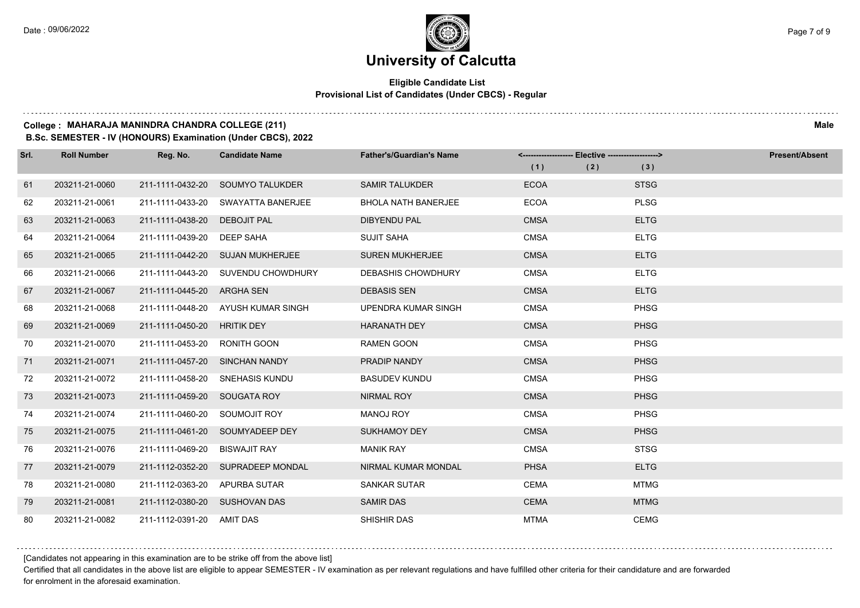### **Eligible Candidate List Provisional List of Candidates (Under CBCS) - Regular**

### **College : MAHARAJA MANINDRA CHANDRA COLLEGE (211) Male**

**B.Sc. SEMESTER - IV (HONOURS) Examination (Under CBCS), 2022**

| Srl. | <b>Roll Number</b> | Reg. No.                       | <b>Candidate Name</b>              | <b>Father's/Guardian's Name</b> | <-------------------- Elective -------------------><br>(1) | (2) | (3)         | <b>Present/Absent</b> |
|------|--------------------|--------------------------------|------------------------------------|---------------------------------|------------------------------------------------------------|-----|-------------|-----------------------|
| 61   | 203211-21-0060     | 211-1111-0432-20               | SOUMYO TALUKDER                    | <b>SAMIR TALUKDER</b>           | <b>ECOA</b>                                                |     | <b>STSG</b> |                       |
| 62   | 203211-21-0061     | 211-1111-0433-20               | SWAYATTA BANERJEE                  | <b>BHOLA NATH BANERJEE</b>      | <b>ECOA</b>                                                |     | <b>PLSG</b> |                       |
| 63   | 203211-21-0063     | 211-1111-0438-20               | <b>DEBOJIT PAL</b>                 | <b>DIBYENDU PAL</b>             | <b>CMSA</b>                                                |     | <b>ELTG</b> |                       |
| 64   | 203211-21-0064     | 211-1111-0439-20 DEEP SAHA     |                                    | <b>SUJIT SAHA</b>               | <b>CMSA</b>                                                |     | <b>ELTG</b> |                       |
| 65   | 203211-21-0065     |                                | 211-1111-0442-20 SUJAN MUKHERJEE   | <b>SUREN MUKHERJEE</b>          | <b>CMSA</b>                                                |     | <b>ELTG</b> |                       |
| 66   | 203211-21-0066     |                                | 211-1111-0443-20 SUVENDU CHOWDHURY | <b>DEBASHIS CHOWDHURY</b>       | <b>CMSA</b>                                                |     | <b>ELTG</b> |                       |
| 67   | 203211-21-0067     | 211-1111-0445-20 ARGHA SEN     |                                    | <b>DEBASIS SEN</b>              | <b>CMSA</b>                                                |     | <b>ELTG</b> |                       |
| 68   | 203211-21-0068     |                                | 211-1111-0448-20 AYUSH KUMAR SINGH | UPENDRA KUMAR SINGH             | <b>CMSA</b>                                                |     | <b>PHSG</b> |                       |
| 69   | 203211-21-0069     | 211-1111-0450-20 HRITIK DEY    |                                    | <b>HARANATH DEY</b>             | <b>CMSA</b>                                                |     | <b>PHSG</b> |                       |
| 70   | 203211-21-0070     | 211-1111-0453-20               | RONITH GOON                        | <b>RAMEN GOON</b>               | <b>CMSA</b>                                                |     | <b>PHSG</b> |                       |
| 71   | 203211-21-0071     | 211-1111-0457-20 SINCHAN NANDY |                                    | PRADIP NANDY                    | <b>CMSA</b>                                                |     | <b>PHSG</b> |                       |
| 72   | 203211-21-0072     |                                | 211-1111-0458-20 SNEHASIS KUNDU    | <b>BASUDEV KUNDU</b>            | <b>CMSA</b>                                                |     | <b>PHSG</b> |                       |
| 73   | 203211-21-0073     | 211-1111-0459-20 SOUGATA ROY   |                                    | NIRMAL ROY                      | <b>CMSA</b>                                                |     | <b>PHSG</b> |                       |
| 74   | 203211-21-0074     | 211-1111-0460-20               | SOUMOJIT ROY                       | <b>MANOJ ROY</b>                | <b>CMSA</b>                                                |     | <b>PHSG</b> |                       |
| 75   | 203211-21-0075     |                                | 211-1111-0461-20 SOUMYADEEP DEY    | <b>SUKHAMOY DEY</b>             | <b>CMSA</b>                                                |     | <b>PHSG</b> |                       |
| 76   | 203211-21-0076     | 211-1111-0469-20               | <b>BISWAJIT RAY</b>                | <b>MANIK RAY</b>                | <b>CMSA</b>                                                |     | <b>STSG</b> |                       |
| 77   | 203211-21-0079     |                                | 211-1112-0352-20 SUPRADEEP MONDAL  | NIRMAL KUMAR MONDAL             | <b>PHSA</b>                                                |     | <b>ELTG</b> |                       |
| 78   | 203211-21-0080     | 211-1112-0363-20 APURBA SUTAR  |                                    | <b>SANKAR SUTAR</b>             | <b>CEMA</b>                                                |     | <b>MTMG</b> |                       |
| 79   | 203211-21-0081     | 211-1112-0380-20 SUSHOVAN DAS  |                                    | <b>SAMIR DAS</b>                | <b>CEMA</b>                                                |     | <b>MTMG</b> |                       |
| 80   | 203211-21-0082     | 211-1112-0391-20 AMIT DAS      |                                    | <b>SHISHIR DAS</b>              | <b>MTMA</b>                                                |     | <b>CEMG</b> |                       |

[Candidates not appearing in this examination are to be strike off from the above list]

Certified that all candidates in the above list are eligible to appear SEMESTER - IV examination as per relevant regulations and have fulfilled other criteria for their candidature and are forwarded for enrolment in the aforesaid examination.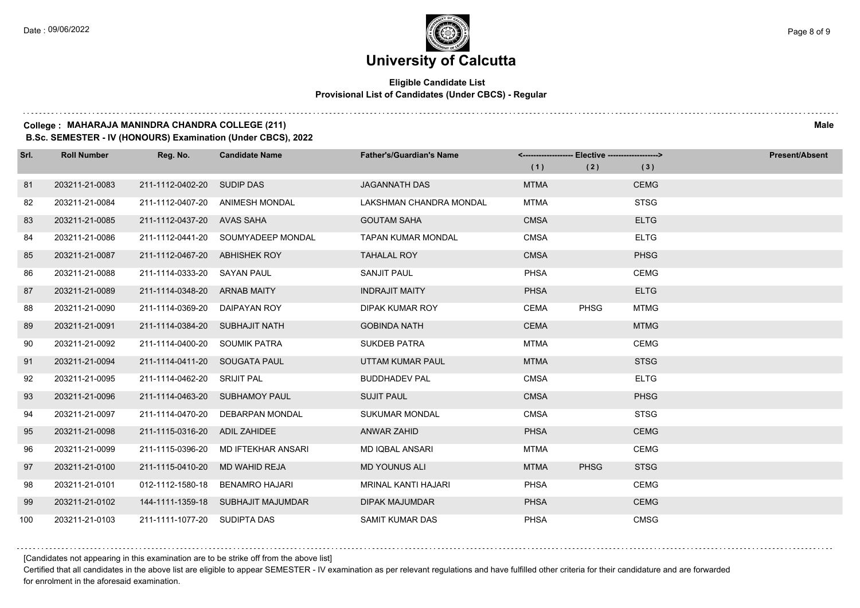### **Eligible Candidate List Provisional List of Candidates (Under CBCS) - Regular**

### **College : MAHARAJA MANINDRA CHANDRA COLLEGE (211) Male**

**B.Sc. SEMESTER - IV (HONOURS) Examination (Under CBCS), 2022**

| Srl. | <b>Roll Number</b> | Reg. No.                       | <b>Candidate Name</b>              | <b>Father's/Guardian's Name</b> |             | <-------------------- Elective ------------------> |             | <b>Present/Absent</b> |
|------|--------------------|--------------------------------|------------------------------------|---------------------------------|-------------|----------------------------------------------------|-------------|-----------------------|
|      |                    |                                |                                    |                                 | (1)         | (2)                                                | (3)         |                       |
| 81   | 203211-21-0083     | 211-1112-0402-20               | SUDIP DAS                          | <b>JAGANNATH DAS</b>            | <b>MTMA</b> |                                                    | <b>CEMG</b> |                       |
| 82   | 203211-21-0084     | 211-1112-0407-20               | ANIMESH MONDAL                     | LAKSHMAN CHANDRA MONDAL         | <b>MTMA</b> |                                                    | <b>STSG</b> |                       |
| 83   | 203211-21-0085     | 211-1112-0437-20 AVAS SAHA     |                                    | <b>GOUTAM SAHA</b>              | <b>CMSA</b> |                                                    | <b>ELTG</b> |                       |
| 84   | 203211-21-0086     |                                | 211-1112-0441-20 SOUMYADEEP MONDAL | <b>TAPAN KUMAR MONDAL</b>       | <b>CMSA</b> |                                                    | <b>ELTG</b> |                       |
| 85   | 203211-21-0087     | 211-1112-0467-20               | ABHISHEK ROY                       | <b>TAHALAL ROY</b>              | <b>CMSA</b> |                                                    | <b>PHSG</b> |                       |
| 86   | 203211-21-0088     | 211-1114-0333-20               | SAYAN PAUL                         | <b>SANJIT PAUL</b>              | <b>PHSA</b> |                                                    | <b>CEMG</b> |                       |
| 87   | 203211-21-0089     | 211-1114-0348-20 ARNAB MAITY   |                                    | <b>INDRAJIT MAITY</b>           | <b>PHSA</b> |                                                    | <b>ELTG</b> |                       |
| 88   | 203211-21-0090     | 211-1114-0369-20               | DAIPAYAN ROY                       | DIPAK KUMAR ROY                 | <b>CEMA</b> | <b>PHSG</b>                                        | <b>MTMG</b> |                       |
| 89   | 203211-21-0091     | 211-1114-0384-20 SUBHAJIT NATH |                                    | <b>GOBINDA NATH</b>             | <b>CEMA</b> |                                                    | <b>MTMG</b> |                       |
| 90   | 203211-21-0092     | 211-1114-0400-20               | <b>SOUMIK PATRA</b>                | <b>SUKDEB PATRA</b>             | <b>MTMA</b> |                                                    | <b>CEMG</b> |                       |
| 91   | 203211-21-0094     | 211-1114-0411-20 SOUGATA PAUL  |                                    | UTTAM KUMAR PAUL                | <b>MTMA</b> |                                                    | <b>STSG</b> |                       |
| 92   | 203211-21-0095     | 211-1114-0462-20 SRIJIT PAL    |                                    | <b>BUDDHADEV PAL</b>            | <b>CMSA</b> |                                                    | <b>ELTG</b> |                       |
| 93   | 203211-21-0096     |                                | 211-1114-0463-20 SUBHAMOY PAUL     | <b>SUJIT PAUL</b>               | <b>CMSA</b> |                                                    | <b>PHSG</b> |                       |
| 94   | 203211-21-0097     | 211-1114-0470-20               | <b>DEBARPAN MONDAL</b>             | <b>SUKUMAR MONDAL</b>           | <b>CMSA</b> |                                                    | <b>STSG</b> |                       |
| 95   | 203211-21-0098     | 211-1115-0316-20               | <b>ADIL ZAHIDEE</b>                | <b>ANWAR ZAHID</b>              | <b>PHSA</b> |                                                    | <b>CEMG</b> |                       |
| 96   | 203211-21-0099     | 211-1115-0396-20               | MD IFTEKHAR ANSARI                 | <b>MD IQBAL ANSARI</b>          | <b>MTMA</b> |                                                    | <b>CEMG</b> |                       |
| 97   | 203211-21-0100     | 211-1115-0410-20               | MD WAHID REJA                      | <b>MD YOUNUS ALI</b>            | <b>MTMA</b> | <b>PHSG</b>                                        | <b>STSG</b> |                       |
| 98   | 203211-21-0101     | 012-1112-1580-18               | <b>BENAMRO HAJARI</b>              | <b>MRINAL KANTI HAJARI</b>      | <b>PHSA</b> |                                                    | <b>CEMG</b> |                       |
| 99   | 203211-21-0102     |                                | 144-1111-1359-18 SUBHAJIT MAJUMDAR | <b>DIPAK MAJUMDAR</b>           | <b>PHSA</b> |                                                    | <b>CEMG</b> |                       |
| 100  | 203211-21-0103     | 211-1111-1077-20 SUDIPTA DAS   |                                    | <b>SAMIT KUMAR DAS</b>          | <b>PHSA</b> |                                                    | <b>CMSG</b> |                       |

[Candidates not appearing in this examination are to be strike off from the above list]

Certified that all candidates in the above list are eligible to appear SEMESTER - IV examination as per relevant regulations and have fulfilled other criteria for their candidature and are forwarded for enrolment in the aforesaid examination.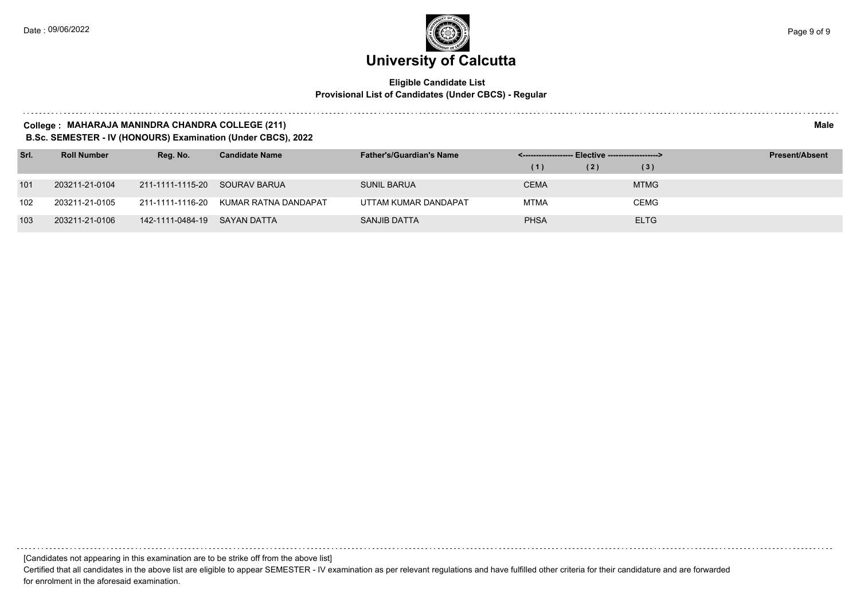### **Eligible Candidate List Provisional List of Candidates (Under CBCS) - Regular**

#### **College : MAHARAJA MANINDRA CHANDRA COLLEGE (211) Male**

**B.Sc. SEMESTER - IV (HONOURS) Examination (Under CBCS), 2022**

| Srl. | <b>Roll Number</b> | Reg. No.                      | <b>Candidate Name</b>                 | <b>Father's/Guardian's Name</b> |             | <-------------------- Elective -------------------> |             | <b>Present/Absent</b> |
|------|--------------------|-------------------------------|---------------------------------------|---------------------------------|-------------|-----------------------------------------------------|-------------|-----------------------|
|      |                    |                               |                                       |                                 | (1)         | (2)                                                 | (3)         |                       |
| 101  | 203211-21-0104     | 211-1111-1115-20 SOURAV BARUA |                                       | SUNIL BARUA                     | <b>CEMA</b> |                                                     | <b>MTMG</b> |                       |
| 102  | 203211-21-0105     |                               | 211-1111-1116-20 KUMAR RATNA DANDAPAT | UTTAM KUMAR DANDAPAT            | <b>MTMA</b> |                                                     | <b>CEMG</b> |                       |
| 103  | 203211-21-0106     | 142-1111-0484-19              | SAYAN DATTA                           | SANJIB DATTA                    | <b>PHSA</b> |                                                     | <b>ELTG</b> |                       |

[Candidates not appearing in this examination are to be strike off from the above list]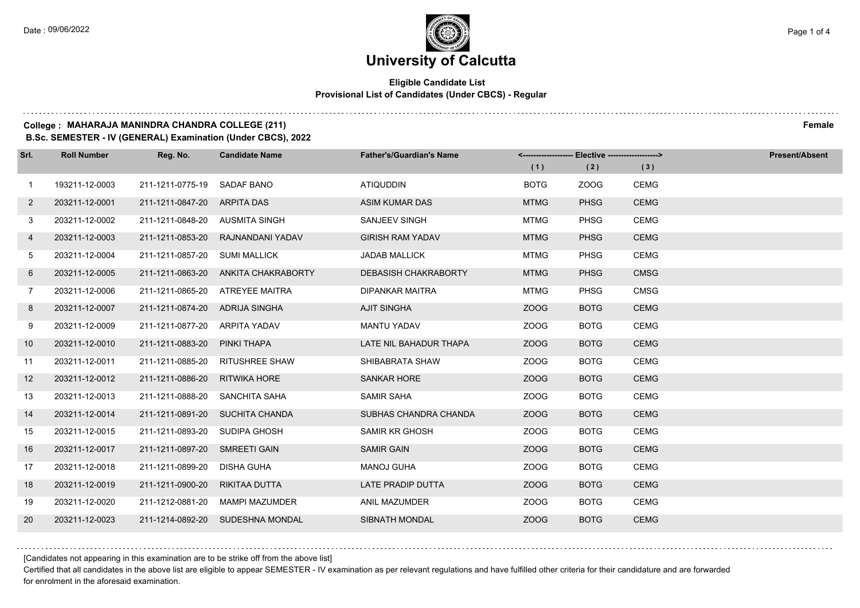## **University of Calcutta**

### **Eligible Candidate List Provisional List of Candidates (Under CBCS) - Regular**

### **College : MAHARAJA MANINDRA CHANDRA COLLEGE (211) Female**

**B.Sc. SEMESTER - IV (GENERAL) Examination (Under CBCS), 2022**

| Srl.           | <b>Roll Number</b> | Reg. No.                       | <b>Candidate Name</b>            | <b>Father's/Guardian's Name</b> | <------------------- Elective ------------------> |             |             | <b>Present/Absent</b> |
|----------------|--------------------|--------------------------------|----------------------------------|---------------------------------|---------------------------------------------------|-------------|-------------|-----------------------|
|                |                    |                                |                                  |                                 | (1)                                               | (2)         | (3)         |                       |
| $\overline{1}$ | 193211-12-0003     | 211-1211-0775-19               | SADAF BANO                       | <b>ATIQUDDIN</b>                | <b>BOTG</b>                                       | ZOOG        | <b>CEMG</b> |                       |
| $\mathbf{2}$   | 203211-12-0001     | 211-1211-0847-20               | ARPITA DAS                       | ASIM KUMAR DAS                  | <b>MTMG</b>                                       | <b>PHSG</b> | <b>CEMG</b> |                       |
| 3              | 203211-12-0002     | 211-1211-0848-20 AUSMITA SINGH |                                  | SANJEEV SINGH                   | <b>MTMG</b>                                       | <b>PHSG</b> | <b>CEMG</b> |                       |
| 4              | 203211-12-0003     | 211-1211-0853-20               | RAJNANDANI YADAV                 | <b>GIRISH RAM YADAV</b>         | <b>MTMG</b>                                       | <b>PHSG</b> | <b>CEMG</b> |                       |
| 5              | 203211-12-0004     | 211-1211-0857-20               | <b>SUMI MALLICK</b>              | <b>JADAB MALLICK</b>            | <b>MTMG</b>                                       | <b>PHSG</b> | <b>CEMG</b> |                       |
| 6              | 203211-12-0005     | 211-1211-0863-20               | ANKITA CHAKRABORTY               | <b>DEBASISH CHAKRABORTY</b>     | <b>MTMG</b>                                       | <b>PHSG</b> | <b>CMSG</b> |                       |
| $\overline{7}$ | 203211-12-0006     |                                | 211-1211-0865-20 ATREYEE MAITRA  | <b>DIPANKAR MAITRA</b>          | <b>MTMG</b>                                       | <b>PHSG</b> | <b>CMSG</b> |                       |
| 8              | 203211-12-0007     | 211-1211-0874-20 ADRIJA SINGHA |                                  | <b>AJIT SINGHA</b>              | ZOOG                                              | <b>BOTG</b> | <b>CEMG</b> |                       |
| 9              | 203211-12-0009     | 211-1211-0877-20               | ARPITA YADAV                     | <b>MANTU YADAV</b>              | ZOOG                                              | <b>BOTG</b> | <b>CEMG</b> |                       |
| 10             | 203211-12-0010     | 211-1211-0883-20               | PINKI THAPA                      | LATE NIL BAHADUR THAPA          | ZOOG                                              | <b>BOTG</b> | <b>CEMG</b> |                       |
| 11             | 203211-12-0011     | 211-1211-0885-20               | <b>RITUSHREE SHAW</b>            | SHIBABRATA SHAW                 | ZOOG                                              | <b>BOTG</b> | <b>CEMG</b> |                       |
| 12             | 203211-12-0012     | 211-1211-0886-20               | RITWIKA HORE                     | <b>SANKAR HORE</b>              | ZOOG                                              | <b>BOTG</b> | <b>CEMG</b> |                       |
| 13             | 203211-12-0013     | 211-1211-0888-20               | SANCHITA SAHA                    | <b>SAMIR SAHA</b>               | ZOOG                                              | <b>BOTG</b> | <b>CEMG</b> |                       |
| 14             | 203211-12-0014     |                                | 211-1211-0891-20 SUCHITA CHANDA  | SUBHAS CHANDRA CHANDA           | ZOOG                                              | <b>BOTG</b> | <b>CEMG</b> |                       |
| 15             | 203211-12-0015     | 211-1211-0893-20               | SUDIPA GHOSH                     | <b>SAMIR KR GHOSH</b>           | ZOOG                                              | <b>BOTG</b> | <b>CEMG</b> |                       |
| 16             | 203211-12-0017     | 211-1211-0897-20               | SMREETI GAIN                     | <b>SAMIR GAIN</b>               | ZOOG                                              | <b>BOTG</b> | <b>CEMG</b> |                       |
| 17             | 203211-12-0018     | 211-1211-0899-20               | <b>DISHA GUHA</b>                | <b>MANOJ GUHA</b>               | ZOOG                                              | <b>BOTG</b> | <b>CEMG</b> |                       |
| 18             | 203211-12-0019     | 211-1211-0900-20               | RIKITAA DUTTA                    | LATE PRADIP DUTTA               | ZOOG                                              | <b>BOTG</b> | <b>CEMG</b> |                       |
| 19             | 203211-12-0020     | 211-1212-0881-20               | MAMPI MAZUMDER                   | ANIL MAZUMDER                   | ZOOG                                              | <b>BOTG</b> | <b>CEMG</b> |                       |
| 20             | 203211-12-0023     |                                | 211-1214-0892-20 SUDESHNA MONDAL | <b>SIBNATH MONDAL</b>           | ZOOG                                              | <b>BOTG</b> | <b>CEMG</b> |                       |

[Candidates not appearing in this examination are to be strike off from the above list]

Certified that all candidates in the above list are eligible to appear SEMESTER - IV examination as per relevant regulations and have fulfilled other criteria for their candidature and are forwarded for enrolment in the aforesaid examination.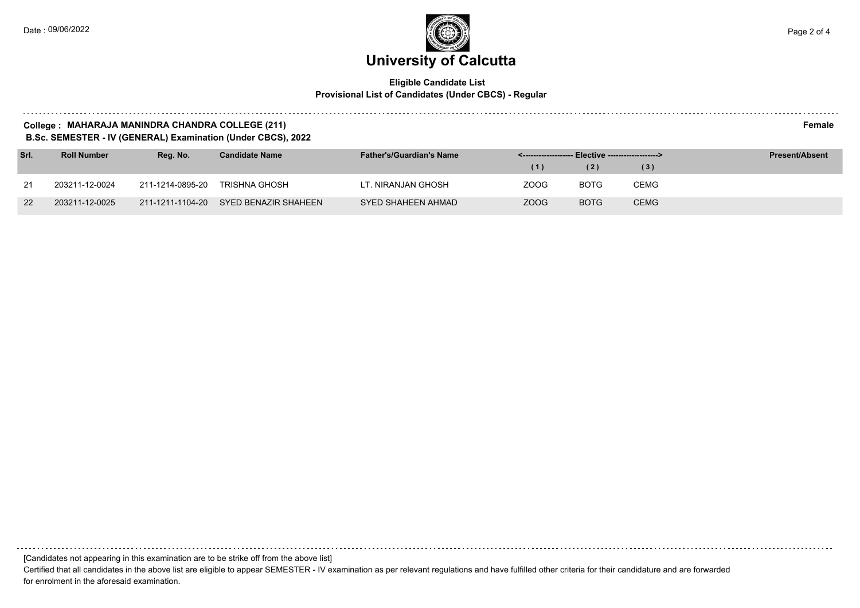### **Eligible Candidate List Provisional List of Candidates (Under CBCS) - Regular**

### **College : MAHARAJA MANINDRA CHANDRA COLLEGE (211) Female**

**B.Sc. SEMESTER - IV (GENERAL) Examination (Under CBCS), 2022**

| Srl. | <b>Roll Number</b> | Rea. No.         | <b>Candidate Name</b>                 | <b>Father's/Guardian's Name</b> |      |             |             | <b>Present/Absent</b> |
|------|--------------------|------------------|---------------------------------------|---------------------------------|------|-------------|-------------|-----------------------|
|      |                    |                  |                                       |                                 | (1)  | (2)         | (3)         |                       |
| 21   | 203211-12-0024     | 211-1214-0895-20 | TRISHNA GHOSH                         | LT. NIRANJAN GHOSH              | ZOOG | <b>BOTG</b> | CEMG        |                       |
| 22   | 203211-12-0025     |                  | 211-1211-1104-20 SYED BENAZIR SHAHEEN | SYED SHAHEEN AHMAD              | ZOOG | <b>BOTG</b> | <b>CEMG</b> |                       |

[Candidates not appearing in this examination are to be strike off from the above list]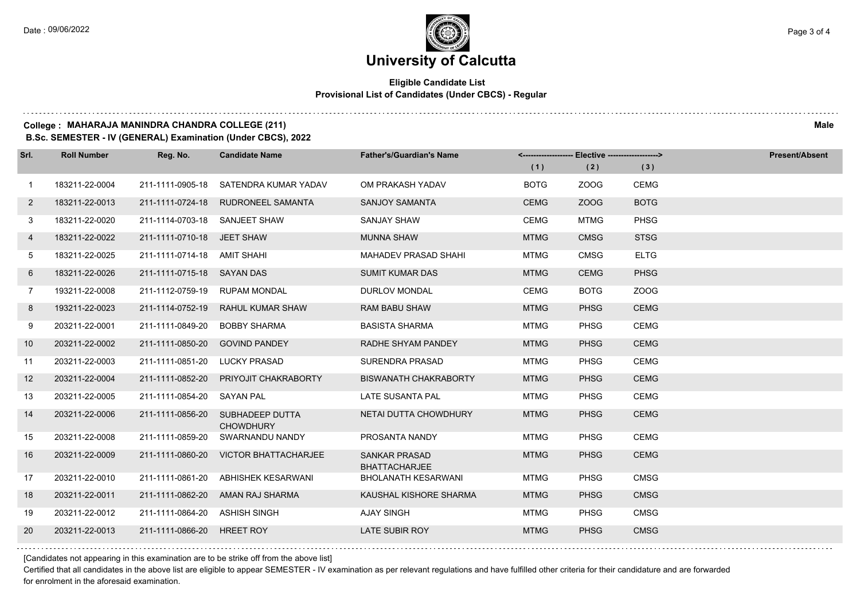### **Eligible Candidate List Provisional List of Candidates (Under CBCS) - Regular**

### **College : MAHARAJA MANINDRA CHANDRA COLLEGE (211) Male**

**B.Sc. SEMESTER - IV (GENERAL) Examination (Under CBCS), 2022**

| Srl.           | <b>Roll Number</b> | Reg. No.                      | <b>Candidate Name</b>                 | <b>Father's/Guardian's Name</b>              |             |             |             | <b>Present/Absent</b> |
|----------------|--------------------|-------------------------------|---------------------------------------|----------------------------------------------|-------------|-------------|-------------|-----------------------|
|                |                    |                               |                                       |                                              | (1)         | (2)         | (3)         |                       |
| $\mathbf{1}$   | 183211-22-0004     |                               | 211-1111-0905-18 SATENDRA KUMAR YADAV | OM PRAKASH YADAV                             | <b>BOTG</b> | ZOOG        | <b>CEMG</b> |                       |
| $\overline{2}$ | 183211-22-0013     |                               | 211-1111-0724-18 RUDRONEEL SAMANTA    | <b>SANJOY SAMANTA</b>                        | <b>CEMG</b> | ZOOG        | <b>BOTG</b> |                       |
| 3              | 183211-22-0020     | 211-1114-0703-18 SANJEET SHAW |                                       | <b>SANJAY SHAW</b>                           | <b>CEMG</b> | <b>MTMG</b> | <b>PHSG</b> |                       |
| 4              | 183211-22-0022     | 211-1111-0710-18 JEET SHAW    |                                       | <b>MUNNA SHAW</b>                            | <b>MTMG</b> | <b>CMSG</b> | <b>STSG</b> |                       |
| 5              | 183211-22-0025     | 211-1111-0714-18 AMIT SHAHI   |                                       | <b>MAHADEV PRASAD SHAHI</b>                  | <b>MTMG</b> | <b>CMSG</b> | <b>ELTG</b> |                       |
| 6              | 183211-22-0026     | 211-1111-0715-18 SAYAN DAS    |                                       | <b>SUMIT KUMAR DAS</b>                       | <b>MTMG</b> | <b>CEMG</b> | <b>PHSG</b> |                       |
| $\overline{7}$ | 193211-22-0008     | 211-1112-0759-19              | <b>RUPAM MONDAL</b>                   | <b>DURLOV MONDAL</b>                         | <b>CEMG</b> | <b>BOTG</b> | ZOOG        |                       |
| 8              | 193211-22-0023     | 211-1114-0752-19              | RAHUL KUMAR SHAW                      | <b>RAM BABU SHAW</b>                         | <b>MTMG</b> | <b>PHSG</b> | <b>CEMG</b> |                       |
| 9              | 203211-22-0001     | 211-1111-0849-20              | <b>BOBBY SHARMA</b>                   | <b>BASISTA SHARMA</b>                        | <b>MTMG</b> | <b>PHSG</b> | <b>CEMG</b> |                       |
| 10             | 203211-22-0002     | 211-1111-0850-20              | <b>GOVIND PANDEY</b>                  | RADHE SHYAM PANDEY                           | <b>MTMG</b> | <b>PHSG</b> | <b>CEMG</b> |                       |
| 11             | 203211-22-0003     | 211-1111-0851-20              | <b>LUCKY PRASAD</b>                   | SURENDRA PRASAD                              | <b>MTMG</b> | <b>PHSG</b> | <b>CEMG</b> |                       |
| 12             | 203211-22-0004     | 211-1111-0852-20              | PRIYOJIT CHAKRABORTY                  | <b>BISWANATH CHAKRABORTY</b>                 | <b>MTMG</b> | <b>PHSG</b> | <b>CEMG</b> |                       |
| 13             | 203211-22-0005     | 211-1111-0854-20              | SAYAN PAL                             | LATE SUSANTA PAL                             | <b>MTMG</b> | <b>PHSG</b> | <b>CEMG</b> |                       |
| 14             | 203211-22-0006     | 211-1111-0856-20              | SUBHADEEP DUTTA<br><b>CHOWDHURY</b>   | NETAI DUTTA CHOWDHURY                        | <b>MTMG</b> | <b>PHSG</b> | <b>CEMG</b> |                       |
| 15             | 203211-22-0008     | 211-1111-0859-20              | SWARNANDU NANDY                       | PROSANTA NANDY                               | <b>MTMG</b> | <b>PHSG</b> | <b>CEMG</b> |                       |
| 16             | 203211-22-0009     | 211-1111-0860-20              | <b>VICTOR BHATTACHARJEE</b>           | <b>SANKAR PRASAD</b><br><b>BHATTACHARJEE</b> | <b>MTMG</b> | <b>PHSG</b> | <b>CEMG</b> |                       |
| 17             | 203211-22-0010     | 211-1111-0861-20              | ABHISHEK KESARWANI                    | <b>BHOLANATH KESARWANI</b>                   | <b>MTMG</b> | <b>PHSG</b> | <b>CMSG</b> |                       |
| 18             | 203211-22-0011     | 211-1111-0862-20              | AMAN RAJ SHARMA                       | KAUSHAL KISHORE SHARMA                       | <b>MTMG</b> | <b>PHSG</b> | <b>CMSG</b> |                       |
| 19             | 203211-22-0012     | 211-1111-0864-20 ASHISH SINGH |                                       | <b>AJAY SINGH</b>                            | <b>MTMG</b> | <b>PHSG</b> | <b>CMSG</b> |                       |
| 20             | 203211-22-0013     | 211-1111-0866-20              | <b>HREET ROY</b>                      | LATE SUBIR ROY                               | <b>MTMG</b> | <b>PHSG</b> | <b>CMSG</b> |                       |

[Candidates not appearing in this examination are to be strike off from the above list]

Certified that all candidates in the above list are eligible to appear SEMESTER - IV examination as per relevant regulations and have fulfilled other criteria for their candidature and are forwarded for enrolment in the aforesaid examination.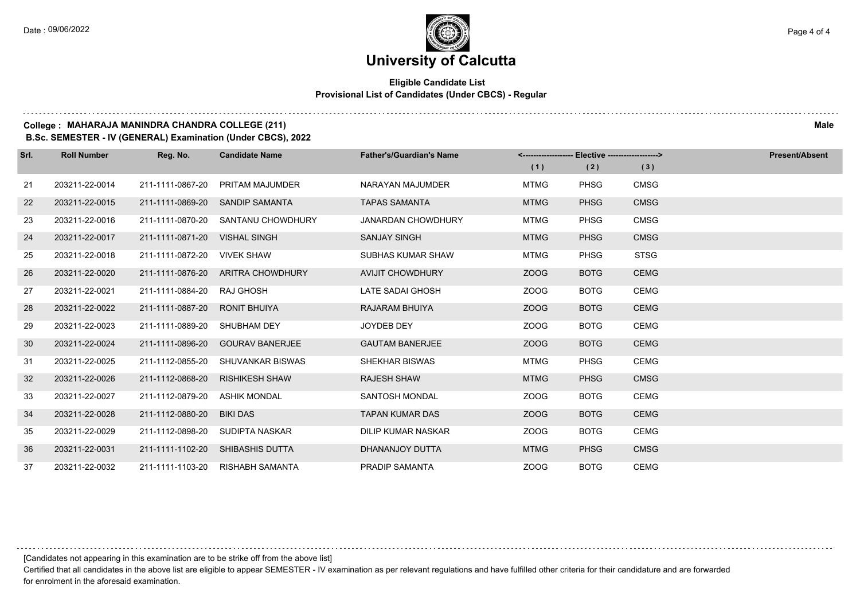### **Eligible Candidate List Provisional List of Candidates (Under CBCS) - Regular**

### **College : MAHARAJA MANINDRA CHANDRA COLLEGE (211) Male**

**B.Sc. SEMESTER - IV (GENERAL) Examination (Under CBCS), 2022**

| Srl. | <b>Roll Number</b> | Reg. No.         | <b>Candidate Name</b>  | <b>Father's/Guardian's Name</b> | <-------------------- Elective -------------------> |             |             | <b>Present/Absent</b> |
|------|--------------------|------------------|------------------------|---------------------------------|-----------------------------------------------------|-------------|-------------|-----------------------|
|      |                    |                  |                        |                                 | (1)                                                 | (2)         | (3)         |                       |
| 21   | 203211-22-0014     | 211-1111-0867-20 | PRITAM MAJUMDER        | NARAYAN MAJUMDER                | <b>MTMG</b>                                         | <b>PHSG</b> | <b>CMSG</b> |                       |
| 22   | 203211-22-0015     | 211-1111-0869-20 | <b>SANDIP SAMANTA</b>  | <b>TAPAS SAMANTA</b>            | <b>MTMG</b>                                         | <b>PHSG</b> | <b>CMSG</b> |                       |
| 23   | 203211-22-0016     | 211-1111-0870-20 | SANTANU CHOWDHURY      | <b>JANARDAN CHOWDHURY</b>       | <b>MTMG</b>                                         | <b>PHSG</b> | <b>CMSG</b> |                       |
| 24   | 203211-22-0017     | 211-1111-0871-20 | <b>VISHAL SINGH</b>    | <b>SANJAY SINGH</b>             | <b>MTMG</b>                                         | <b>PHSG</b> | <b>CMSG</b> |                       |
| 25   | 203211-22-0018     | 211-1111-0872-20 | <b>VIVEK SHAW</b>      | SUBHAS KUMAR SHAW               | <b>MTMG</b>                                         | <b>PHSG</b> | <b>STSG</b> |                       |
| 26   | 203211-22-0020     | 211-1111-0876-20 | ARITRA CHOWDHURY       | <b>AVIJIT CHOWDHURY</b>         | ZOOG                                                | <b>BOTG</b> | <b>CEMG</b> |                       |
| 27   | 203211-22-0021     | 211-1111-0884-20 | <b>RAJ GHOSH</b>       | LATE SADAI GHOSH                | ZOOG                                                | <b>BOTG</b> | <b>CEMG</b> |                       |
| 28   | 203211-22-0022     | 211-1111-0887-20 | <b>RONIT BHUIYA</b>    | RAJARAM BHUIYA                  | ZOOG                                                | <b>BOTG</b> | <b>CEMG</b> |                       |
| 29   | 203211-22-0023     | 211-1111-0889-20 | SHUBHAM DEY            | <b>JOYDEB DEY</b>               | ZOOG                                                | <b>BOTG</b> | <b>CEMG</b> |                       |
| 30   | 203211-22-0024     | 211-1111-0896-20 | <b>GOURAV BANERJEE</b> | <b>GAUTAM BANERJEE</b>          | ZOOG                                                | <b>BOTG</b> | <b>CEMG</b> |                       |
| 31   | 203211-22-0025     | 211-1112-0855-20 | SHUVANKAR BISWAS       | <b>SHEKHAR BISWAS</b>           | <b>MTMG</b>                                         | <b>PHSG</b> | <b>CEMG</b> |                       |
| 32   | 203211-22-0026     | 211-1112-0868-20 | <b>RISHIKESH SHAW</b>  | <b>RAJESH SHAW</b>              | <b>MTMG</b>                                         | <b>PHSG</b> | <b>CMSG</b> |                       |
| 33   | 203211-22-0027     | 211-1112-0879-20 | <b>ASHIK MONDAL</b>    | <b>SANTOSH MONDAL</b>           | ZOOG                                                | <b>BOTG</b> | <b>CEMG</b> |                       |
| 34   | 203211-22-0028     | 211-1112-0880-20 | <b>BIKI DAS</b>        | <b>TAPAN KUMAR DAS</b>          | ZOOG                                                | <b>BOTG</b> | <b>CEMG</b> |                       |
| 35   | 203211-22-0029     | 211-1112-0898-20 | SUDIPTA NASKAR         | DILIP KUMAR NASKAR              | ZOOG                                                | <b>BOTG</b> | <b>CEMG</b> |                       |
| 36   | 203211-22-0031     | 211-1111-1102-20 | <b>SHIBASHIS DUTTA</b> | DHANANJOY DUTTA                 | <b>MTMG</b>                                         | <b>PHSG</b> | <b>CMSG</b> |                       |
| 37   | 203211-22-0032     | 211-1111-1103-20 | <b>RISHABH SAMANTA</b> | <b>PRADIP SAMANTA</b>           | ZOOG                                                | <b>BOTG</b> | <b>CEMG</b> |                       |



[Candidates not appearing in this examination are to be strike off from the above list]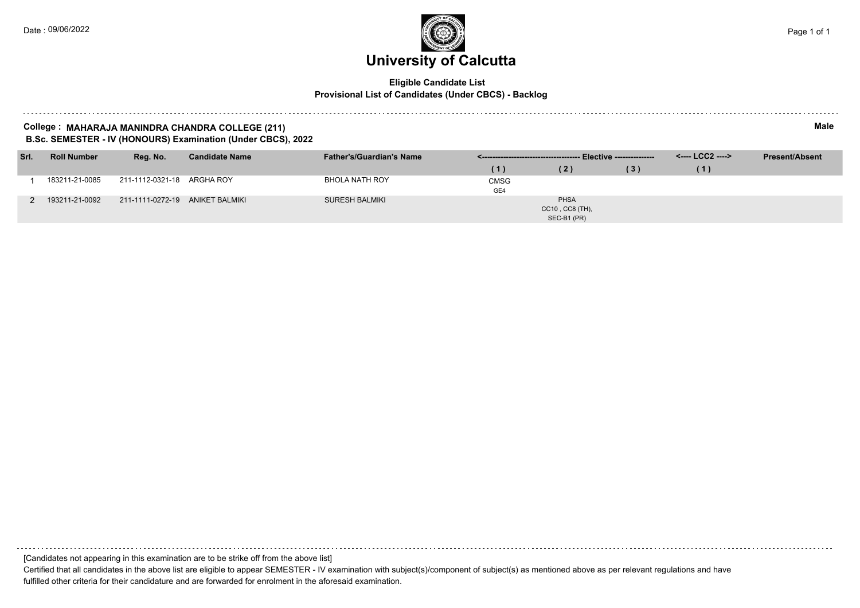### **Eligible Candidate List Provisional List of Candidates (Under CBCS) - Backlog**

### **College : MAHARAJA MANINDRA CHANDRA COLLEGE (211) Male B.Sc. SEMESTER - IV (HONOURS) Examination (Under CBCS), 2022**

| Srl. | <b>Roll Number</b> | Reg. No.                        | <b>Candidate Name</b> | <b>Father's/Guardian's Name</b> |                    |                                                    |     | <b>Present/Absent</b> |  |
|------|--------------------|---------------------------------|-----------------------|---------------------------------|--------------------|----------------------------------------------------|-----|-----------------------|--|
|      |                    |                                 |                       |                                 | (1)                | (2)                                                | (3) | (1)                   |  |
|      | 183211-21-0085     | 211-1112-0321-18 ARGHA ROY      |                       | BHOLA NATH ROY                  | <b>CMSG</b><br>GE4 |                                                    |     |                       |  |
|      | 193211-21-0092     | 211-1111-0272-19 ANIKET BALMIKI |                       | <b>SURESH BALMIKI</b>           |                    | <b>PHSA</b><br>$CC10$ , $CC8$ (TH),<br>SEC-B1 (PR) |     |                       |  |

[Candidates not appearing in this examination are to be strike off from the above list]

Certified that all candidates in the above list are eligible to appear SEMESTER - IV examination with subject(s)/component of subject(s) as mentioned above as per relevant regulations and have fulfilled other criteria for their candidature and are forwarded for enrolment in the aforesaid examination.